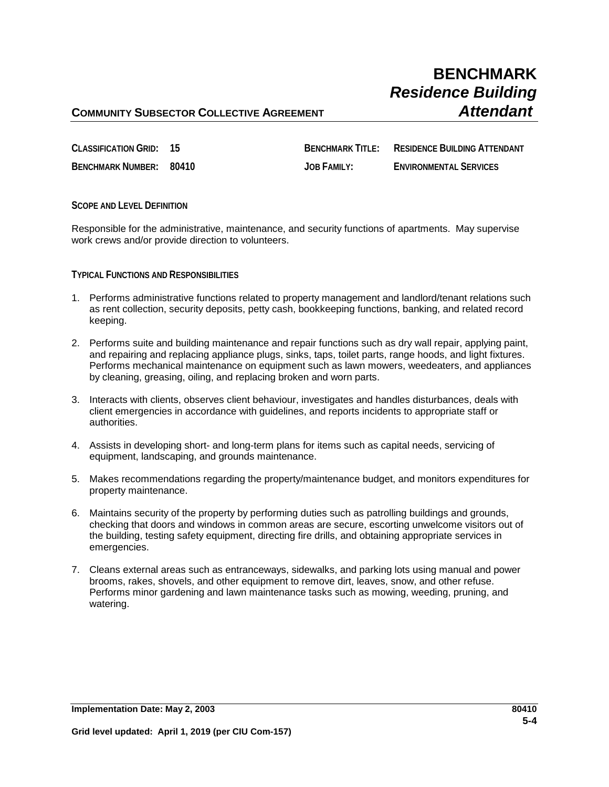## **BENCHMARK** *Residence Building*

### **COMMUNITY SUBSECTOR COLLECTIVE AGREEMENT** *Attendant*

| CLASSIFICATION GRID: 15 | <b>BENCHMARK TITI F:</b> | RESIDENCE BUILDING ATTENDANT  |
|-------------------------|--------------------------|-------------------------------|
| BENCHMARK NUMBER: 80410 | JOB FAMILY:              | <b>ENVIRONMENTAL SERVICES</b> |

**SCOPE AND LEVEL DEFINITION**

Responsible for the administrative, maintenance, and security functions of apartments. May supervise work crews and/or provide direction to volunteers.

**TYPICAL FUNCTIONS AND RESPONSIBILITIES**

- 1. Performs administrative functions related to property management and landlord/tenant relations such as rent collection, security deposits, petty cash, bookkeeping functions, banking, and related record keeping.
- 2. Performs suite and building maintenance and repair functions such as dry wall repair, applying paint, and repairing and replacing appliance plugs, sinks, taps, toilet parts, range hoods, and light fixtures. Performs mechanical maintenance on equipment such as lawn mowers, weedeaters, and appliances by cleaning, greasing, oiling, and replacing broken and worn parts.
- 3. Interacts with clients, observes client behaviour, investigates and handles disturbances, deals with client emergencies in accordance with guidelines, and reports incidents to appropriate staff or authorities.
- 4. Assists in developing short- and long-term plans for items such as capital needs, servicing of equipment, landscaping, and grounds maintenance.
- 5. Makes recommendations regarding the property/maintenance budget, and monitors expenditures for property maintenance.
- 6. Maintains security of the property by performing duties such as patrolling buildings and grounds, checking that doors and windows in common areas are secure, escorting unwelcome visitors out of the building, testing safety equipment, directing fire drills, and obtaining appropriate services in emergencies.
- 7. Cleans external areas such as entranceways, sidewalks, and parking lots using manual and power brooms, rakes, shovels, and other equipment to remove dirt, leaves, snow, and other refuse. Performs minor gardening and lawn maintenance tasks such as mowing, weeding, pruning, and watering.